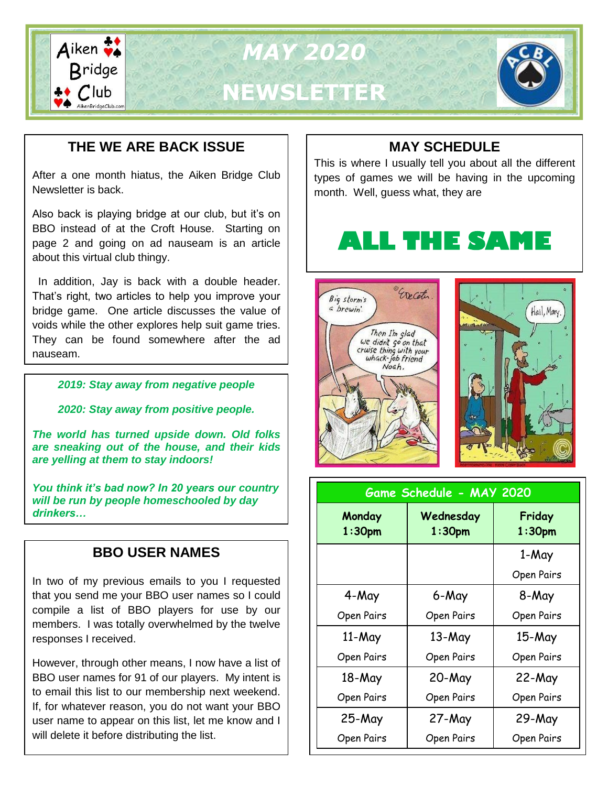

## **THE WE ARE BACK ISSUE**

After a one month hiatus, the Aiken Bridge Club Newsletter is back.

Also back is playing bridge at our club, but it's on BBO instead of at the Croft House. Starting on page 2 and going on ad nauseam is an article about this virtual club thingy.

 In addition, Jay is back with a double header. That's right, two articles to help you improve your bridge game. One article discusses the value of voids while the other explores help suit game tries. They can be found somewhere after the ad nauseam.

#### *2019: Stay away from negative people*

*2020: Stay away from positive people.*

*The world has turned upside down. Old folks are sneaking out of the house, and their kids are yelling at them to stay indoors!*

*You think it's bad now? In 20 years our country will be run by people homeschooled by day drinkers…*

## **BBO USER NAMES**

In two of my previous emails to you I requested that you send me your BBO user names so I could compile a list of BBO players for use by our members. I was totally overwhelmed by the twelve responses I received.

However, through other means, I now have a list of BBO user names for 91 of our players. My intent is to email this list to our membership next weekend. If, for whatever reason, you do not want your BBO user name to appear on this list, let me know and I will delete it before distributing the list.

## **MAY SCHEDULE**

This is where I usually tell you about all the different types of games we will be having in the upcoming month. Well, guess what, they are

# **ALL THE SAME**





| Game Schedule - MAY 2020     |                                 |                              |
|------------------------------|---------------------------------|------------------------------|
| Monday<br>1:30 <sub>pm</sub> | Wednesday<br>1:30 <sub>pm</sub> | Friday<br>1:30 <sub>pm</sub> |
|                              |                                 | 1-May                        |
|                              |                                 | Open Pairs                   |
| 4-May                        | 6-May                           | 8-May                        |
| Open Pairs                   | Open Pairs                      | Open Pairs                   |
| 11-May                       | 13-May                          | $15$ -May                    |
| Open Pairs                   | Open Pairs                      | Open Pairs                   |
| 18-May                       | $20-May$                        | $22-May$                     |
| Open Pairs                   | Open Pairs                      | Open Pairs                   |
| 25-May                       | $27$ -May                       | $29$ -May                    |
| Open Pairs                   | Open Pairs                      | Open Pairs                   |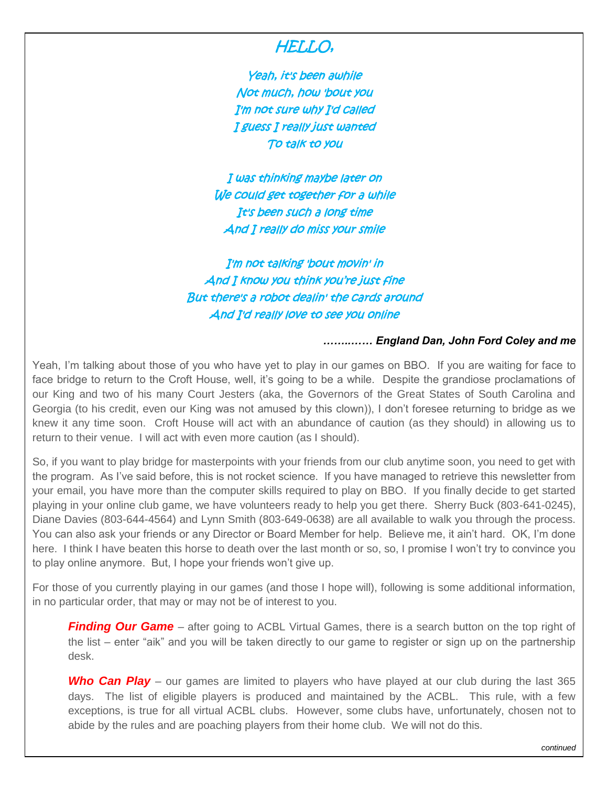# HELLO,

Yeah, it's been awhile Not much, how 'bout you I'm not sure why I'd called I guess I really just wanted To talk to you

I was thinking maybe later on We could get together for a while It's been such a long time And I really do miss your smile

I'm not talking 'bout movin' in And I know you think you're just fine But there's a robot dealin' the cards around And I'd really love to see you online

#### *……..…… England Dan, John Ford Coley and me*

Yeah, I'm talking about those of you who have yet to play in our games on BBO. If you are waiting for face to face bridge to return to the Croft House, well, it's going to be a while. Despite the grandiose proclamations of our King and two of his many Court Jesters (aka, the Governors of the Great States of South Carolina and Georgia (to his credit, even our King was not amused by this clown)), I don't foresee returning to bridge as we knew it any time soon. Croft House will act with an abundance of caution (as they should) in allowing us to return to their venue. I will act with even more caution (as I should).

So, if you want to play bridge for masterpoints with your friends from our club anytime soon, you need to get with the program. As I've said before, this is not rocket science. If you have managed to retrieve this newsletter from your email, you have more than the computer skills required to play on BBO. If you finally decide to get started playing in your online club game, we have volunteers ready to help you get there. Sherry Buck (803-641-0245), Diane Davies (803-644-4564) and Lynn Smith (803-649-0638) are all available to walk you through the process. You can also ask your friends or any Director or Board Member for help. Believe me, it ain't hard. OK, I'm done here. I think I have beaten this horse to death over the last month or so, so, I promise I won't try to convince you to play online anymore. But, I hope your friends won't give up.

For those of you currently playing in our games (and those I hope will), following is some additional information, in no particular order, that may or may not be of interest to you.

**Finding Our Game** – after going to ACBL Virtual Games, there is a search button on the top right of the list – enter "aik" and you will be taken directly to our game to register or sign up on the partnership desk.

**Who Can Play** – our games are limited to players who have played at our club during the last 365 days. The list of eligible players is produced and maintained by the ACBL. This rule, with a few exceptions, is true for all virtual ACBL clubs. However, some clubs have, unfortunately, chosen not to abide by the rules and are poaching players from their home club. We will not do this.

f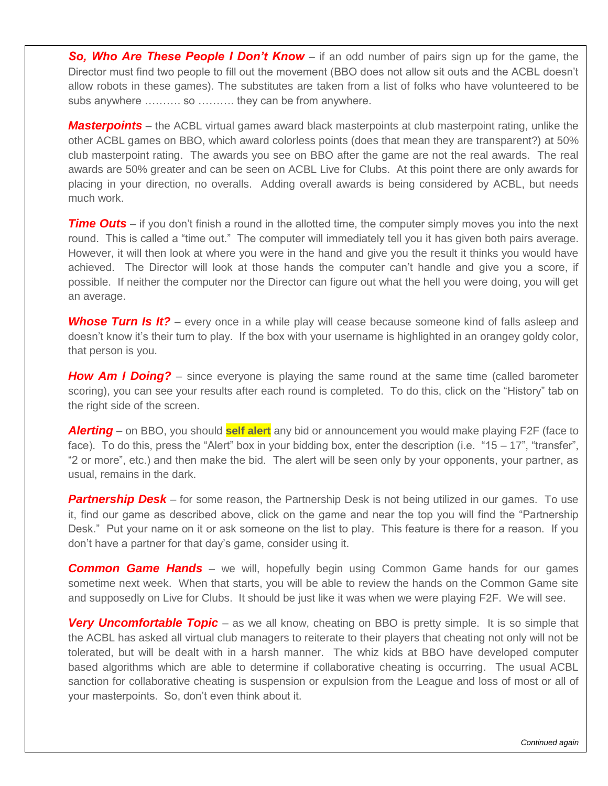*So, Who Are These People I Don't Know* – if an odd number of pairs sign up for the game, the Director must find two people to fill out the movement (BBO does not allow sit outs and the ACBL doesn't allow robots in these games). The substitutes are taken from a list of folks who have volunteered to be subs anywhere ………. so ………. they can be from anywhere.

**Masterpoints** – the ACBL virtual games award black masterpoints at club masterpoint rating, unlike the other ACBL games on BBO, which award colorless points (does that mean they are transparent?) at 50% club masterpoint rating. The awards you see on BBO after the game are not the real awards. The real awards are 50% greater and can be seen on ACBL Live for Clubs. At this point there are only awards for placing in your direction, no overalls. Adding overall awards is being considered by ACBL, but needs much work.

**Time Outs** – if you don't finish a round in the allotted time, the computer simply moves you into the next round. This is called a "time out." The computer will immediately tell you it has given both pairs average. However, it will then look at where you were in the hand and give you the result it thinks you would have achieved. The Director will look at those hands the computer can't handle and give you a score, if possible. If neither the computer nor the Director can figure out what the hell you were doing, you will get an average.

**Whose Turn Is It?** – every once in a while play will cease because someone kind of falls asleep and doesn't know it's their turn to play. If the box with your username is highlighted in an orangey goldy color, that person is you.

**How Am I Doing?** – since everyone is playing the same round at the same time (called barometer scoring), you can see your results after each round is completed. To do this, click on the "History" tab on the right side of the screen.

*Alerting* – on BBO, you should **self alert** any bid or announcement you would make playing F2F (face to face). To do this, press the "Alert" box in your bidding box, enter the description (i.e. "15 – 17", "transfer", "2 or more", etc.) and then make the bid. The alert will be seen only by your opponents, your partner, as usual, remains in the dark.

**Partnership Desk** – for some reason, the Partnership Desk is not being utilized in our games. To use it, find our game as described above, click on the game and near the top you will find the "Partnership Desk." Put your name on it or ask someone on the list to play. This feature is there for a reason. If you don't have a partner for that day's game, consider using it.

*Common Game Hands* – we will, hopefully begin using Common Game hands for our games sometime next week. When that starts, you will be able to review the hands on the Common Game site and supposedly on Live for Clubs. It should be just like it was when we were playing F2F. We will see.

**Falling Down Bridge** based algorithms which are able to determine if collaborative cheating is occurring. The usual ACBL **Very Uncomfortable Topic** – as we all know, cheating on BBO is pretty simple. It is so simple that the ACBL has asked all virtual club managers to reiterate to their players that cheating not only will not be tolerated, but will be dealt with in a harsh manner. The whiz kids at BBO have developed computer sanction for collaborative cheating is suspension or expulsion from the League and loss of most or all of your masterpoints. So, don't even think about it.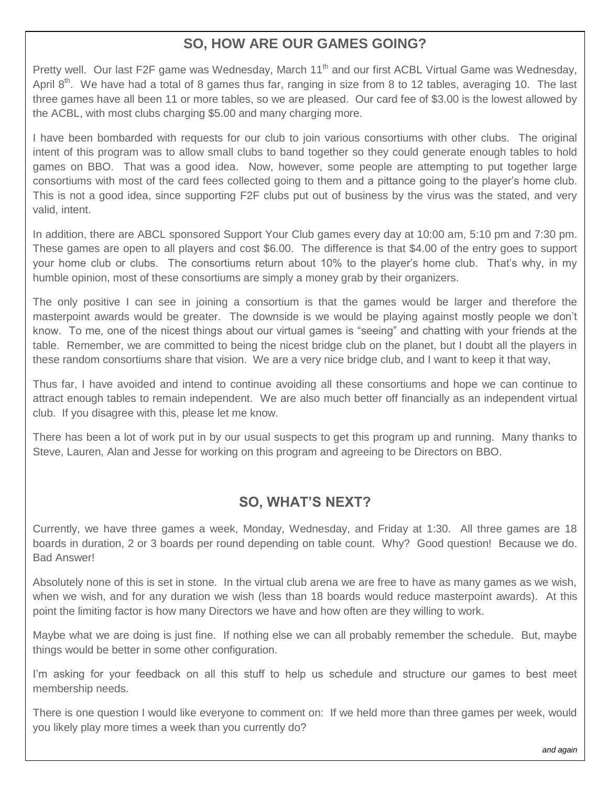## **SO, HOW ARE OUR GAMES GOING?**

Pretty well. Our last F2F game was Wednesday, March 11<sup>th</sup> and our first ACBL Virtual Game was Wednesday, April  $8<sup>th</sup>$ . We have had a total of 8 games thus far, ranging in size from 8 to 12 tables, averaging 10. The last three games have all been 11 or more tables, so we are pleased. Our card fee of \$3.00 is the lowest allowed by the ACBL, with most clubs charging \$5.00 and many charging more.

I have been bombarded with requests for our club to join various consortiums with other clubs. The original intent of this program was to allow small clubs to band together so they could generate enough tables to hold games on BBO. That was a good idea. Now, however, some people are attempting to put together large consortiums with most of the card fees collected going to them and a pittance going to the player's home club. This is not a good idea, since supporting F2F clubs put out of business by the virus was the stated, and very valid, intent.

In addition, there are ABCL sponsored Support Your Club games every day at 10:00 am, 5:10 pm and 7:30 pm. These games are open to all players and cost \$6.00. The difference is that \$4.00 of the entry goes to support your home club or clubs. The consortiums return about 10% to the player's home club. That's why, in my humble opinion, most of these consortiums are simply a money grab by their organizers.

The only positive I can see in joining a consortium is that the games would be larger and therefore the masterpoint awards would be greater. The downside is we would be playing against mostly people we don't know. To me, one of the nicest things about our virtual games is "seeing" and chatting with your friends at the table. Remember, we are committed to being the nicest bridge club on the planet, but I doubt all the players in these random consortiums share that vision. We are a very nice bridge club, and I want to keep it that way,

Thus far, I have avoided and intend to continue avoiding all these consortiums and hope we can continue to attract enough tables to remain independent. We are also much better off financially as an independent virtual club. If you disagree with this, please let me know.

There has been a lot of work put in by our usual suspects to get this program up and running. Many thanks to Steve, Lauren, Alan and Jesse for working on this program and agreeing to be Directors on BBO.

## **SO, WHAT'S NEXT?**

Currently, we have three games a week, Monday, Wednesday, and Friday at 1:30. All three games are 18 boards in duration, 2 or 3 boards per round depending on table count. Why? Good question! Because we do. Bad Answer!

Absolutely none of this is set in stone. In the virtual club arena we are free to have as many games as we wish, when we wish, and for any duration we wish (less than 18 boards would reduce masterpoint awards). At this point the limiting factor is how many Directors we have and how often are they willing to work.

Maybe what we are doing is just fine. If nothing else we can all probably remember the schedule. But, maybe things would be better in some other configuration.

I'm asking for your feedback on all this stuff to help us schedule and structure our games to best meet membership needs.

There is one question I would like everyone to comment on: If we held more than three games per week, would you likely play more times a week than you currently do?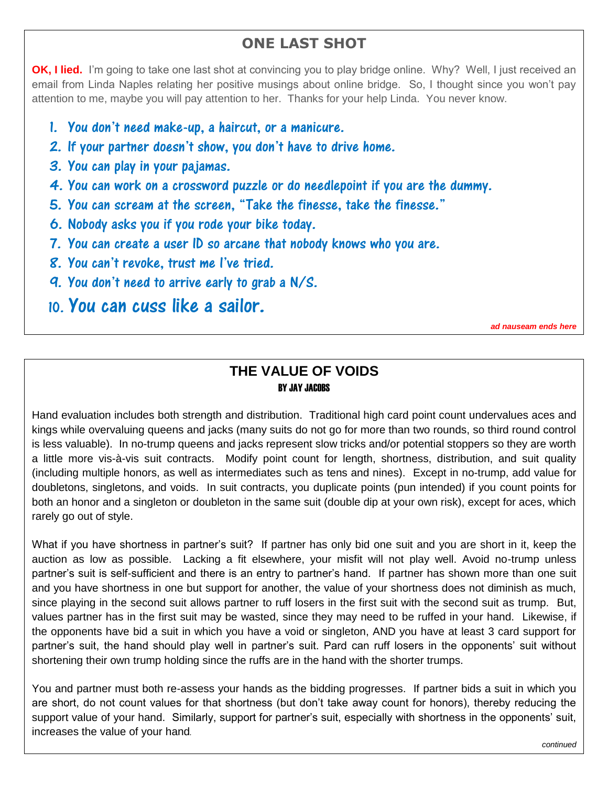# **ONE LAST SHOT**

**OK, I lied.** I'm going to take one last shot at convincing you to play bridge online. Why? Well, I just received an email from Linda Naples relating her positive musings about online bridge. So, I thought since you won't pay attention to me, maybe you will pay attention to her. Thanks for your help Linda. You never know.

- 1. You don't need make-up, a haircut, or a manicure.
- 2. If your partner doesn't show, you don't have to drive home.
- 3. You can play in your pajamas.
- 4. You can work on a crossword puzzle or do needlepoint if you are the dummy.
- 5. You can scream at the screen, "Take the finesse, take the finesse."
- 6. Nobody asks you if you rode your bike today.
- 7. You can create a user ID so arcane that nobody knows who you are.
- 8. You can't revoke, trust me I've tried.
- 9. You don't need to arrive early to grab a N/S.
- 10. You can cuss like a sailor.

*ad nauseam ends here*

## **THE VALUE OF VOIDS BY JAY JACOBS**

Hand evaluation includes both strength and distribution. Traditional high card point count undervalues aces and kings while overvaluing queens and jacks (many suits do not go for more than two rounds, so third round control is less valuable). In no-trump queens and jacks represent slow tricks and/or potential stoppers so they are worth a little more vis-à-vis suit contracts. Modify point count for length, shortness, distribution, and suit quality (including multiple honors, as well as intermediates such as tens and nines). Except in no-trump, add value for doubletons, singletons, and voids. In suit contracts, you duplicate points (pun intended) if you count points for both an honor and a singleton or doubleton in the same suit (double dip at your own risk), except for aces, which rarely go out of style.

What if you have shortness in partner's suit? If partner has only bid one suit and you are short in it, keep the auction as low as possible. Lacking a fit elsewhere, your misfit will not play well. Avoid no-trump unless partner's suit is self-sufficient and there is an entry to partner's hand. If partner has shown more than one suit and you have shortness in one but support for another, the value of your shortness does not diminish as much, since playing in the second suit allows partner to ruff losers in the first suit with the second suit as trump. But, values partner has in the first suit may be wasted, since they may need to be ruffed in your hand. Likewise, if the opponents have bid a suit in which you have a void or singleton, AND you have at least 3 card support for partner's suit, the hand should play well in partner's suit. Pard can ruff losers in the opponents' suit without shortening their own trump holding since the ruffs are in the hand with the shorter trumps.

You and partner must both re-assess your hands as the bidding progresses. If partner bids a suit in which you are short, do not count values for that shortness (but don't take away count for honors), thereby reducing the support value of your hand. Similarly, support for partner's suit, especially with shortness in the opponents' suit, increases the value of your hand*.*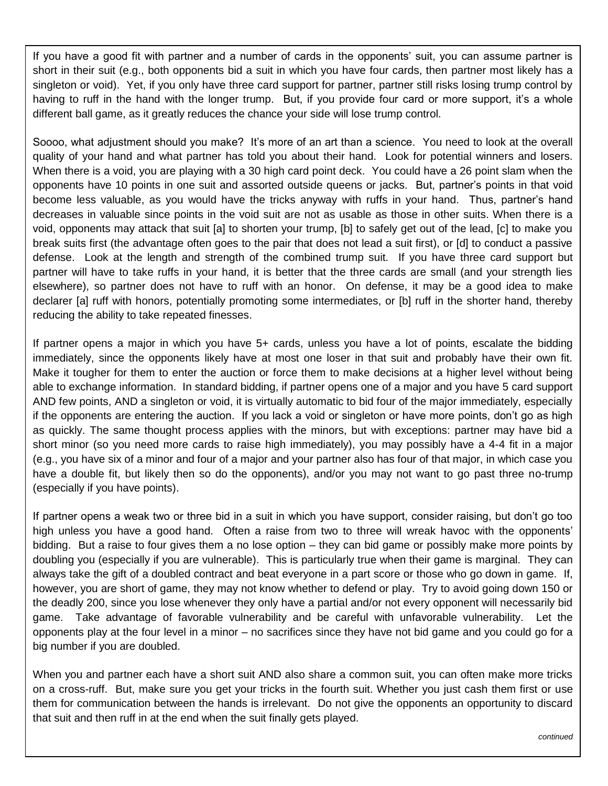If you have a good fit with partner and a number of cards in the opponents' suit, you can assume partner is short in their suit (e.g., both opponents bid a suit in which you have four cards, then partner most likely has a singleton or void). Yet, if you only have three card support for partner, partner still risks losing trump control by having to ruff in the hand with the longer trump. But, if you provide four card or more support, it's a whole different ball game, as it greatly reduces the chance your side will lose trump control.

Soooo, what adjustment should you make? It's more of an art than a science. You need to look at the overall quality of your hand and what partner has told you about their hand. Look for potential winners and losers. When there is a void, you are playing with a 30 high card point deck. You could have a 26 point slam when the opponents have 10 points in one suit and assorted outside queens or jacks. But, partner's points in that void become less valuable, as you would have the tricks anyway with ruffs in your hand. Thus, partner's hand decreases in valuable since points in the void suit are not as usable as those in other suits. When there is a void, opponents may attack that suit [a] to shorten your trump, [b] to safely get out of the lead, [c] to make you break suits first (the advantage often goes to the pair that does not lead a suit first), or [d] to conduct a passive defense. Look at the length and strength of the combined trump suit. If you have three card support but partner will have to take ruffs in your hand, it is better that the three cards are small (and your strength lies elsewhere), so partner does not have to ruff with an honor. On defense, it may be a good idea to make declarer [a] ruff with honors, potentially promoting some intermediates, or [b] ruff in the shorter hand, thereby reducing the ability to take repeated finesses.

If partner opens a major in which you have 5+ cards, unless you have a lot of points, escalate the bidding immediately, since the opponents likely have at most one loser in that suit and probably have their own fit. Make it tougher for them to enter the auction or force them to make decisions at a higher level without being able to exchange information. In standard bidding, if partner opens one of a major and you have 5 card support AND few points, AND a singleton or void, it is virtually automatic to bid four of the major immediately, especially if the opponents are entering the auction. If you lack a void or singleton or have more points, don't go as high as quickly. The same thought process applies with the minors, but with exceptions: partner may have bid a short minor (so you need more cards to raise high immediately), you may possibly have a 4-4 fit in a major (e.g., you have six of a minor and four of a major and your partner also has four of that major, in which case you have a double fit, but likely then so do the opponents), and/or you may not want to go past three no-trump (especially if you have points).

If partner opens a weak two or three bid in a suit in which you have support, consider raising, but don't go too high unless you have a good hand. Often a raise from two to three will wreak havoc with the opponents' bidding. But a raise to four gives them a no lose option – they can bid game or possibly make more points by doubling you (especially if you are vulnerable). This is particularly true when their game is marginal. They can always take the gift of a doubled contract and beat everyone in a part score or those who go down in game. If, however, you are short of game, they may not know whether to defend or play. Try to avoid going down 150 or the deadly 200, since you lose whenever they only have a partial and/or not every opponent will necessarily bid game. Take advantage of favorable vulnerability and be careful with unfavorable vulnerability. Let the opponents play at the four level in a minor – no sacrifices since they have not bid game and you could go for a big number if you are doubled.

When you and partner each have a short suit AND also share a common suit, you can often make more tricks on a cross-ruff. But, make sure you get your tricks in the fourth suit. Whether you just cash them first or use them for communication between the hands is irrelevant. Do not give the opponents an opportunity to discard that suit and then ruff in at the end when the suit finally gets played.